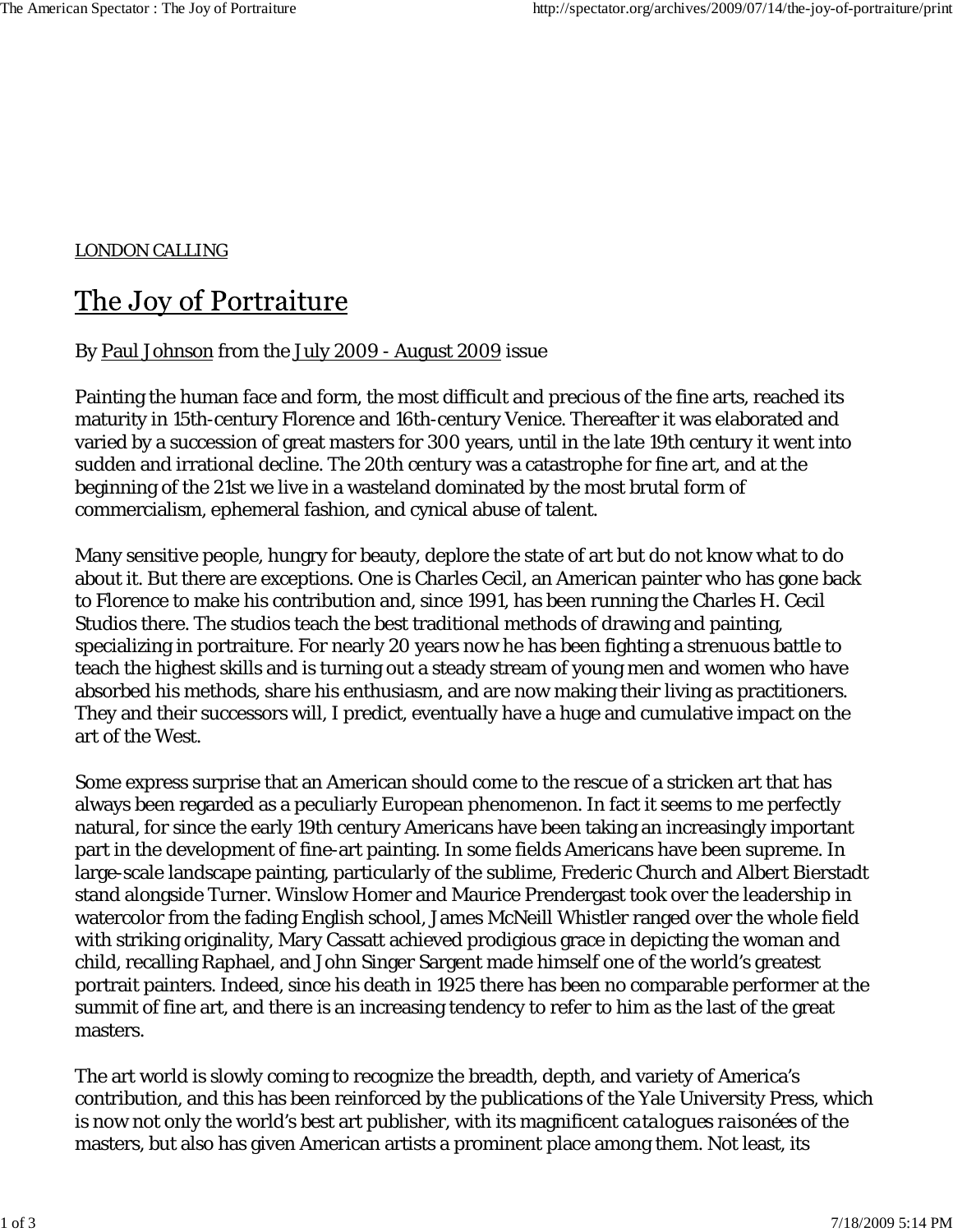## LONDON CALLING

## The Joy of Portraiture

## By Paul Johnson from the July 2009 - August 2009 issue

Painting the human face and form, the most difficult and precious of the fine arts, reached its maturity in 15th-century Florence and 16th-century Venice. Thereafter it was elaborated and varied by a succession of great masters for 300 years, until in the late 19th century it went into sudden and irrational decline. The 20th century was a catastrophe for fine art, and at the beginning of the 21st we live in a wasteland dominated by the most brutal form of commercialism, ephemeral fashion, and cynical abuse of talent.

Many sensitive people, hungry for beauty, deplore the state of art but do not know what to do about it. But there are exceptions. One is Charles Cecil, an American painter who has gone back to Florence to make his contribution and, since 1991, has been running the Charles H. Cecil Studios there. The studios teach the best traditional methods of drawing and painting, specializing in portraiture. For nearly 20 years now he has been fighting a strenuous battle to teach the highest skills and is turning out a steady stream of young men and women who have absorbed his methods, share his enthusiasm, and are now making their living as practitioners. They and their successors will, I predict, eventually have a huge and cumulative impact on the art of the West.

Some express surprise that an American should come to the rescue of a stricken art that has always been regarded as a peculiarly European phenomenon. In fact it seems to me perfectly natural, for since the early 19th century Americans have been taking an increasingly important part in the development of fine-art painting. In some fields Americans have been supreme. In large-scale landscape painting, particularly of the sublime, Frederic Church and Albert Bierstadt stand alongside Turner. Winslow Homer and Maurice Prendergast took over the leadership in watercolor from the fading English school, James McNeill Whistler ranged over the whole field with striking originality, Mary Cassatt achieved prodigious grace in depicting the woman and child, recalling Raphael, and John Singer Sargent made himself one of the world's greatest portrait painters. Indeed, since his death in 1925 there has been no comparable performer at the summit of fine art, and there is an increasing tendency to refer to him as the last of the great masters.

The art world is slowly coming to recognize the breadth, depth, and variety of America's contribution, and this has been reinforced by the publications of the Yale University Press, which is now not only the world's best art publisher, with its magnificent *catalogues raisonées* of the masters, but also has given American artists a prominent place among them. Not least, its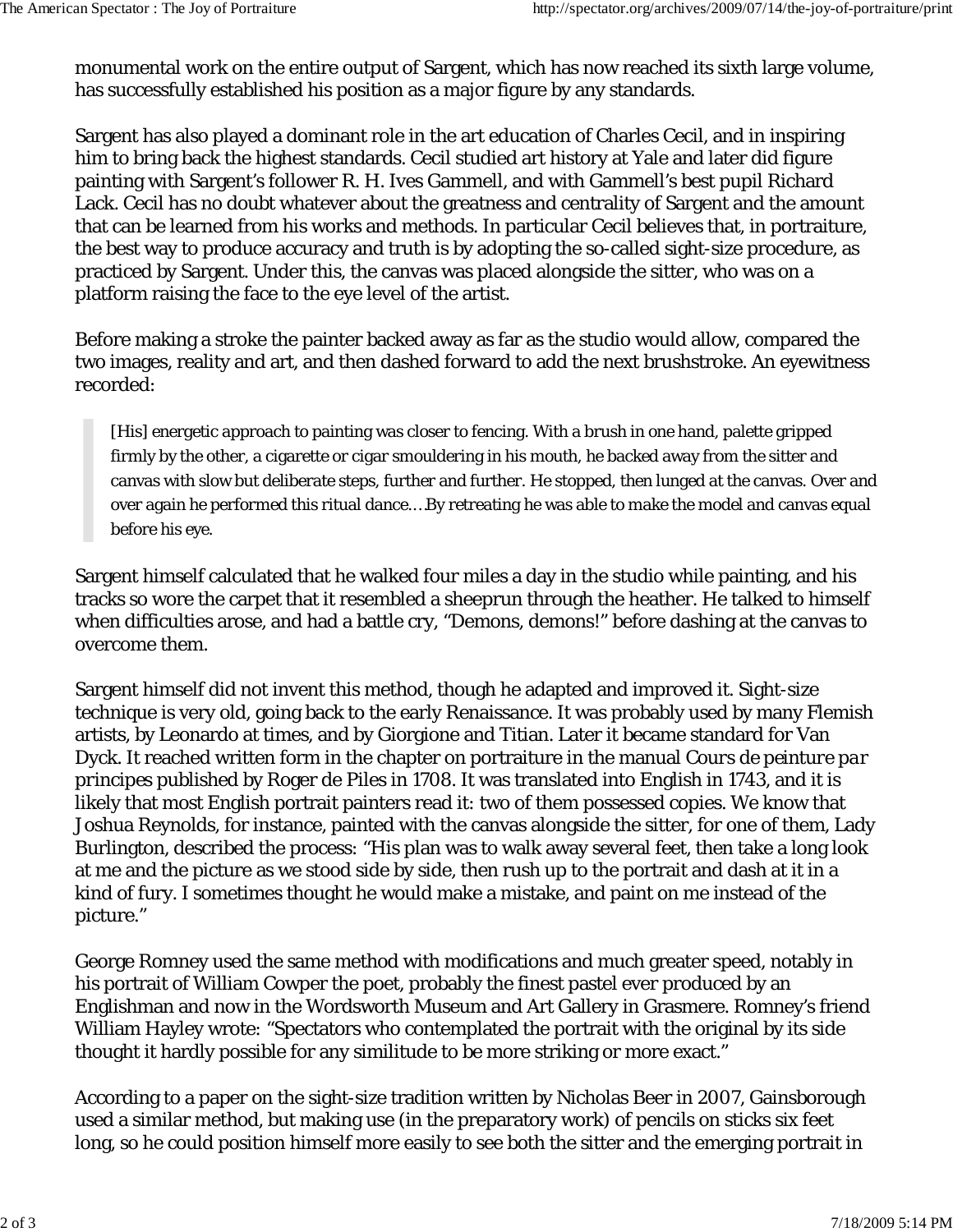monumental work on the entire output of Sargent, which has now reached its sixth large volume, has successfully established his position as a major figure by any standards.

Sargent has also played a dominant role in the art education of Charles Cecil, and in inspiring him to bring back the highest standards. Cecil studied art history at Yale and later did figure painting with Sargent's follower R. H. Ives Gammell, and with Gammell's best pupil Richard Lack. Cecil has no doubt whatever about the greatness and centrality of Sargent and the amount that can be learned from his works and methods. In particular Cecil believes that, in portraiture, the best way to produce accuracy and truth is by adopting the so-called sight-size procedure, as practiced by Sargent. Under this, the canvas was placed alongside the sitter, who was on a platform raising the face to the eye level of the artist.

Before making a stroke the painter backed away as far as the studio would allow, compared the two images, reality and art, and then dashed forward to add the next brushstroke. An eyewitness recorded:

[His] energetic approach to painting was closer to fencing. With a brush in one hand, palette gripped firmly by the other, a cigarette or cigar smouldering in his mouth, he backed away from the sitter and canvas with slow but deliberate steps, further and further. He stopped, then lunged at the canvas. Over and over again he performed this ritual dance.…By retreating he was able to make the model and canvas equal before his eye.

Sargent himself calculated that he walked four miles a day in the studio while painting, and his tracks so wore the carpet that it resembled a sheeprun through the heather. He talked to himself when difficulties arose, and had a battle cry, "Demons, demons!" before dashing at the canvas to overcome them.

Sargent himself did not invent this method, though he adapted and improved it. Sight-size technique is very old, going back to the early Renaissance. It was probably used by many Flemish artists, by Leonardo at times, and by Giorgione and Titian. Later it became standard for Van Dyck. It reached written form in the chapter on portraiture in the manual *Cours de peinture par principes* published by Roger de Piles in 1708. It was translated into English in 1743, and it is likely that most English portrait painters read it: two of them possessed copies. We know that Joshua Reynolds, for instance, painted with the canvas alongside the sitter, for one of them, Lady Burlington, described the process: "His plan was to walk away several feet, then take a long look at me and the picture as we stood side by side, then rush up to the portrait and dash at it in a kind of fury. I sometimes thought he would make a mistake, and paint on me instead of the picture."

George Romney used the same method with modifications and much greater speed, notably in his portrait of William Cowper the poet, probably the finest pastel ever produced by an Englishman and now in the Wordsworth Museum and Art Gallery in Grasmere. Romney's friend William Hayley wrote: "Spectators who contemplated the portrait with the original by its side thought it hardly possible for any similitude to be more striking or more exact."

According to a paper on the sight-size tradition written by Nicholas Beer in 2007, Gainsborough used a similar method, but making use (in the preparatory work) of pencils on sticks six feet long, so he could position himself more easily to see both the sitter and the emerging portrait in